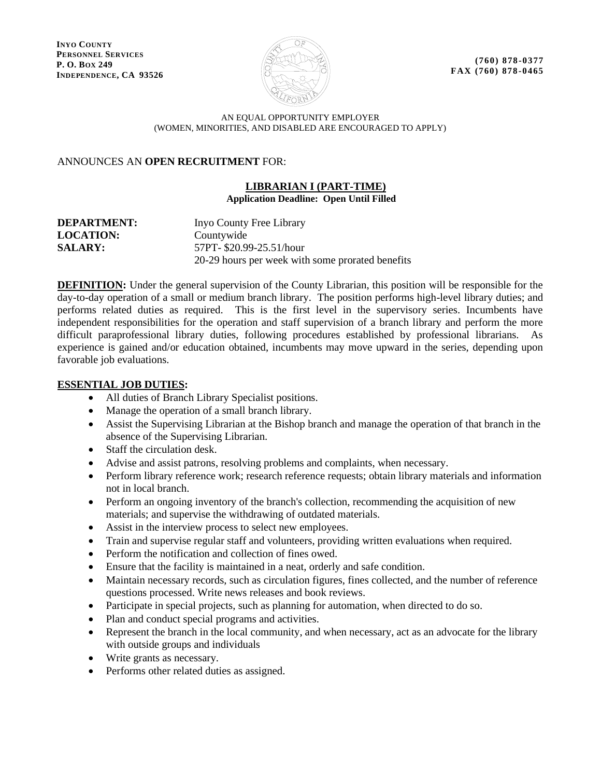**INYO COUNTY PERSONNEL SERVICES P. O. BOX 249 INDEPENDENCE, CA 93526**



**(760) 878-0377 FAX (760) 878 -0465**

#### AN EQUAL OPPORTUNITY EMPLOYER (WOMEN, MINORITIES, AND DISABLED ARE ENCOURAGED TO APPLY)

# ANNOUNCES AN **OPEN RECRUITMENT** FOR:

#### **LIBRARIAN I (PART-TIME) Application Deadline: Open Until Filled**

| <b>DEPARTMENT:</b> | Inyo County Free Library                         |
|--------------------|--------------------------------------------------|
| <b>LOCATION:</b>   | Countywide                                       |
| <b>SALARY:</b>     | 57PT- \$20.99-25.51/hour                         |
|                    | 20-29 hours per week with some prorated benefits |

**DEFINITION:** Under the general supervision of the County Librarian, this position will be responsible for the day-to-day operation of a small or medium branch library. The position performs high-level library duties; and performs related duties as required. This is the first level in the supervisory series. Incumbents have independent responsibilities for the operation and staff supervision of a branch library and perform the more difficult paraprofessional library duties, following procedures established by professional librarians. As experience is gained and/or education obtained, incumbents may move upward in the series, depending upon favorable job evaluations.

# **ESSENTIAL JOB DUTIES:**

- All duties of Branch Library Specialist positions.
- Manage the operation of a small branch library.
- Assist the Supervising Librarian at the Bishop branch and manage the operation of that branch in the absence of the Supervising Librarian.
- Staff the circulation desk.
- Advise and assist patrons, resolving problems and complaints, when necessary.
- Perform library reference work; research reference requests; obtain library materials and information not in local branch.
- Perform an ongoing inventory of the branch's collection, recommending the acquisition of new materials; and supervise the withdrawing of outdated materials.
- Assist in the interview process to select new employees.
- Train and supervise regular staff and volunteers, providing written evaluations when required.
- Perform the notification and collection of fines owed.
- Ensure that the facility is maintained in a neat, orderly and safe condition.
- Maintain necessary records, such as circulation figures, fines collected, and the number of reference questions processed. Write news releases and book reviews.
- Participate in special projects, such as planning for automation, when directed to do so.
- Plan and conduct special programs and activities.
- Represent the branch in the local community, and when necessary, act as an advocate for the library with outside groups and individuals
- Write grants as necessary.
- Performs other related duties as assigned.